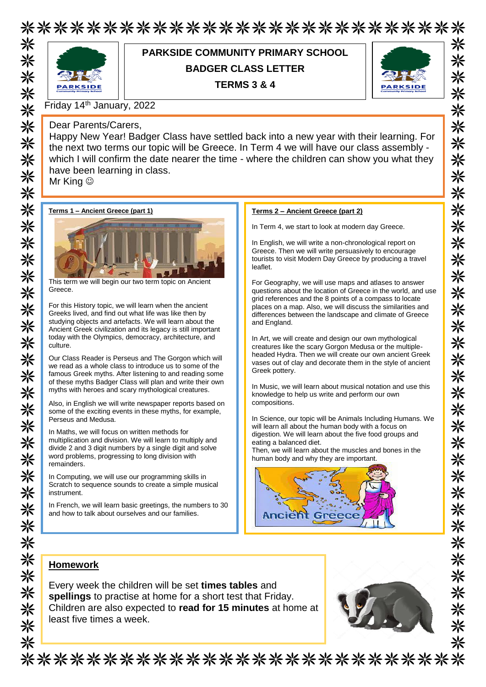# \*\*\*\*\*\*\*\*\*\*\*\*\*\*\*\*\*\*\*\*\*\*\*\*\*\*\*



### **PARKSIDE COMMUNITY PRIMARY SCHOOL BADGER CLASS LETTER**

**TERMS 3 & 4**



米

兴

米

⋇

米

☀

☀

米

⋇

米

米

米

米

米

米 米

米

米

米

米

米

米

兴

※

⋇

米

米

米

⋇

米

米

米

米

Friday 14th January, 2022

#### Dear Parents/Carers,

Happy New Year! Badger Class have settled back into a new year with their learning. For the next two terms our topic will be Greece. In Term 4 we will have our class assembly which I will confirm the date nearer the time - where the children can show you what they have been learning in class.

Mr King ☺





This term we will begin our two term topic on Ancient Greece.

For this History topic, we will learn when the ancient Greeks lived, and find out what life was like then by studying objects and artefacts. We will learn about the Ancient Greek civilization and its legacy is still important today with the Olympics, democracy, architecture, and culture.

Our Class Reader is Perseus and The Gorgon which will we read as a whole class to introduce us to some of the famous Greek myths. After listening to and reading some of these myths Badger Class will plan and write their own myths with heroes and scary mythological creatures.

Also, in English we will write newspaper reports based on some of the exciting events in these myths, for example, Perseus and Medusa.

In Maths, we will focus on written methods for multiplication and division. We will learn to multiply and divide 2 and 3 digit numbers by a single digit and solve word problems, progressing to long division with remainders.

In Computing, we will use our programming skills in Scratch to sequence sounds to create a simple musical instrument.

In French, we will learn basic greetings, the numbers to 30 and how to talk about ourselves and our families.

#### **Terms 2 – Ancient Greece (part 2)**

In Term 4, we start to look at modern day Greece.

In English, we will write a non-chronological report on Greece. Then we will write persuasively to encourage tourists to visit Modern Day Greece by producing a travel leaflet.

For Geography, we will use maps and atlases to answer questions about the location of Greece in the world, and use grid references and the 8 points of a compass to locate places on a map. Also, we will discuss the similarities and differences between the landscape and climate of Greece and England.

In Art, we will create and design our own mythological creatures like the scary Gorgon Medusa or the multipleheaded Hydra. Then we will create our own ancient Greek vases out of clay and decorate them in the style of ancient Greek pottery.

In Music, we will learn about musical notation and use this knowledge to help us write and perform our own compositions.

In Science, our topic will be Animals Including Humans. We will learn all about the human body with a focus on digestion. We will learn about the five food groups and eating a balanced diet.

Then, we will learn about the muscles and bones in the human body and why they are important.



#### **Homework**

Every week the children will be set **times tables** and **spellings** to practise at home for a short test that Friday. Children are also expected to **read for 15 minutes** at home at least five times a week.